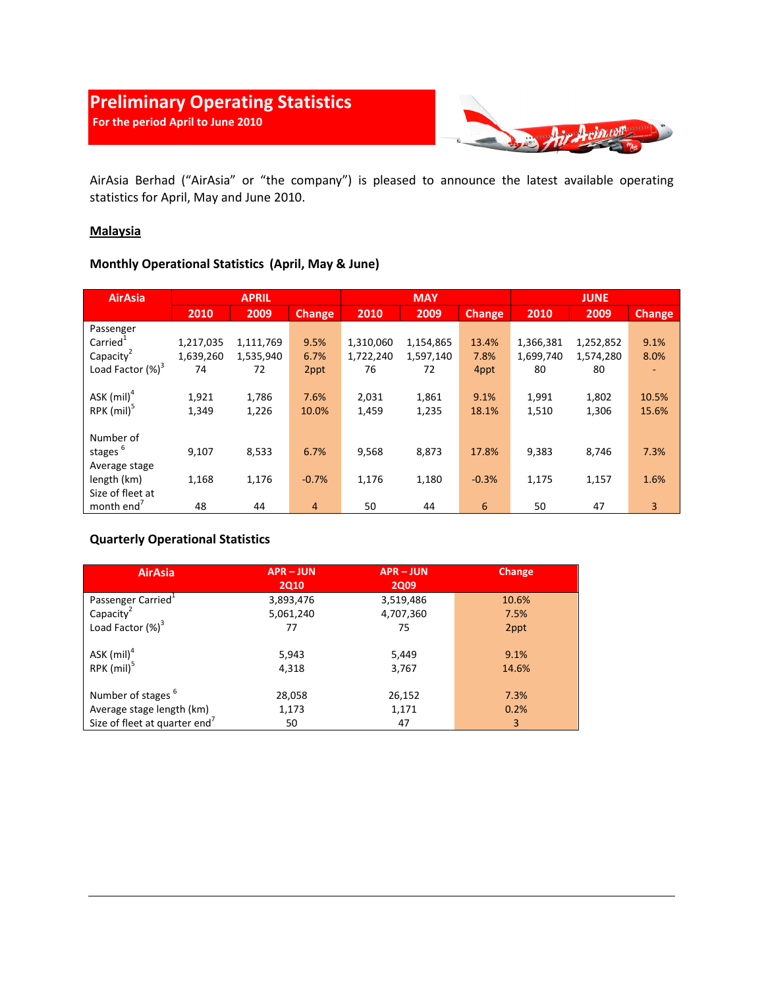

AirAsia Berhad ("AirAsia" or "the company") is pleased to announce the latest available operating statistics for April, May and June 2010.

### **Malaysia**

## **Monthly Operational Statistics (April, May & June)**

| <b>AirAsia</b>           | <b>APRIL</b> |           |               | <b>MAY</b> |           |               | <b>JUNE</b> |           |               |
|--------------------------|--------------|-----------|---------------|------------|-----------|---------------|-------------|-----------|---------------|
|                          | 2010         | 2009      | <b>Change</b> | 2010       | 2009      | <b>Change</b> | 2010        | 2009      | <b>Change</b> |
| Passenger                |              |           |               |            |           |               |             |           |               |
| $Carried+$               | 1,217,035    | 1,111,769 | 9.5%          | 1,310,060  | 1,154,865 | 13.4%         | 1,366,381   | 1,252,852 | 9.1%          |
| Capacity <sup>2</sup>    | 1,639,260    | 1,535,940 | 6.7%          | 1,722,240  | 1,597,140 | 7.8%          | 1,699,740   | 1,574,280 | 8.0%          |
| Load Factor $(\%)^3$     | 74           | 72        | 2ppt          | 76         | 72        | 4ppt          | 80          | 80        |               |
|                          |              |           |               |            |           |               |             |           |               |
| ASK $(mil)^4$            | 1,921        | 1,786     | 7.6%          | 2,031      | 1,861     | 9.1%          | 1,991       | 1,802     | 10.5%         |
| $RPK$ (mil) <sup>5</sup> | 1,349        | 1,226     | 10.0%         | 1,459      | 1,235     | 18.1%         | 1,510       | 1,306     | 15.6%         |
|                          |              |           |               |            |           |               |             |           |               |
| Number of                |              |           |               |            |           |               |             |           |               |
| stages <sup>6</sup>      | 9,107        | 8,533     | 6.7%          | 9,568      | 8,873     | 17.8%         | 9,383       | 8,746     | 7.3%          |
| Average stage            |              |           |               |            |           |               |             |           |               |
| length (km)              | 1,168        | 1,176     | $-0.7%$       | 1,176      | 1,180     | $-0.3%$       | 1,175       | 1,157     | 1.6%          |
| Size of fleet at         |              |           |               |            |           |               |             |           |               |
| month end <sup>'</sup>   | 48           | 44        | 4             | 50         | 44        | 6             | 50          | 47        | 3             |

### **Quarterly Operational Statistics**

| <b>AirAsia</b>                            | <b>APR-JUN</b><br><b>2Q10</b> | <b>APR-JUN</b><br><b>2Q09</b> | <b>Change</b> |
|-------------------------------------------|-------------------------------|-------------------------------|---------------|
| Passenger Carried <sup>1</sup>            | 3,893,476                     | 3,519,486                     | 10.6%         |
| Capacity                                  | 5,061,240                     | 4,707,360                     | 7.5%          |
| Load Factor $(\%)^3$                      | 77                            | 75                            | 2ppt          |
|                                           |                               |                               |               |
| ASK (mil) <sup>4</sup>                    | 5,943                         | 5,449                         | 9.1%          |
| RPK (mil) <sup>5</sup>                    | 4,318                         | 3,767                         | 14.6%         |
|                                           |                               |                               |               |
| Number of stages <sup>6</sup>             | 28,058                        | 26,152                        | 7.3%          |
| Average stage length (km)                 | 1,173                         | 1,171                         | 0.2%          |
| Size of fleet at quarter end <sup>7</sup> | 50                            | 47                            | 3             |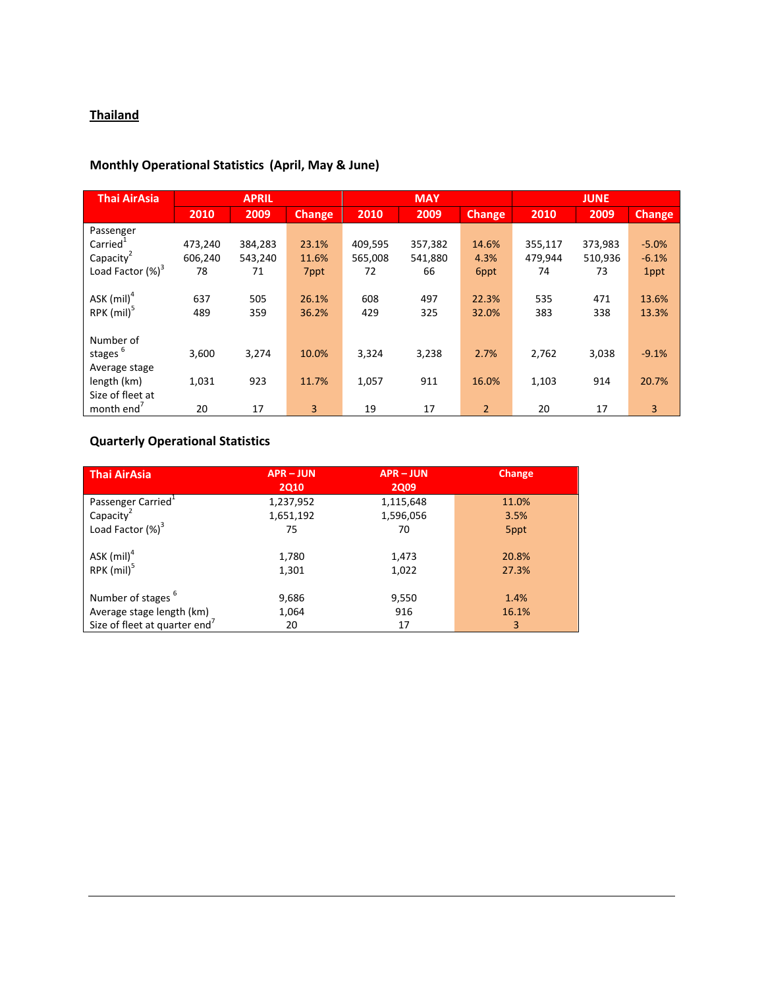## **Thailand**

### **Monthly Operational Statistics (April, May & June)**

| <b>Thai AirAsia</b>    | <b>APRIL</b> |         |               | <b>MAY</b> |         |                | <b>JUNE</b> |         |               |
|------------------------|--------------|---------|---------------|------------|---------|----------------|-------------|---------|---------------|
|                        | 2010         | 2009    | <b>Change</b> | 2010       | 2009    | <b>Change</b>  | 2010        | 2009    | <b>Change</b> |
| Passenger              |              |         |               |            |         |                |             |         |               |
| Carried <sup>1</sup>   | 473,240      | 384,283 | 23.1%         | 409,595    | 357,382 | 14.6%          | 355,117     | 373,983 | $-5.0%$       |
| Capacity <sup>2</sup>  | 606,240      | 543,240 | 11.6%         | 565,008    | 541,880 | 4.3%           | 479,944     | 510,936 | $-6.1%$       |
| Load Factor $(\%)^3$   | 78           | 71      | 7ppt          | 72         | 66      | 6ppt           | 74          | 73      | 1ppt          |
|                        |              |         |               |            |         |                |             |         |               |
| ASK $(mil)^4$          | 637          | 505     | 26.1%         | 608        | 497     | 22.3%          | 535         | 471     | 13.6%         |
| RPK $(mil)^5$          | 489          | 359     | 36.2%         | 429        | 325     | 32.0%          | 383         | 338     | 13.3%         |
|                        |              |         |               |            |         |                |             |         |               |
| Number of              |              |         |               |            |         |                |             |         |               |
| stages <sup>6</sup>    | 3,600        | 3,274   | 10.0%         | 3,324      | 3,238   | 2.7%           | 2,762       | 3,038   | $-9.1%$       |
| Average stage          |              |         |               |            |         |                |             |         |               |
| length (km)            | 1,031        | 923     | 11.7%         | 1,057      | 911     | 16.0%          | 1,103       | 914     | 20.7%         |
| Size of fleet at       |              |         |               |            |         |                |             |         |               |
| month end <sup>'</sup> | 20           | 17      | 3             | 19         | 17      | $\overline{2}$ | 20          | 17      | 3             |

# **Quarterly Operational Statistics**

| Thai AirAsia                              | <b>APR-JUN</b><br><b>2Q10</b> | <b>APR-JUN</b><br><b>2Q09</b> | Change         |
|-------------------------------------------|-------------------------------|-------------------------------|----------------|
| Passenger Carried <sup>+</sup>            | 1,237,952                     | 1,115,648                     | 11.0%          |
| Capacity                                  | 1,651,192                     | 1,596,056                     | 3.5%           |
| Load Factor $(\%)^3$                      | 75                            | 70                            | 5ppt           |
| ASK $(mil)^4$<br>$RPK$ (mil) <sup>5</sup> | 1,780<br>1,301                | 1,473<br>1,022                | 20.8%<br>27.3% |
| Number of stages <sup>b</sup>             | 9,686                         | 9,550                         | 1.4%           |
| Average stage length (km)                 | 1,064                         | 916                           | 16.1%          |
| Size of fleet at quarter end <sup>7</sup> | 20                            | 17                            | 3              |